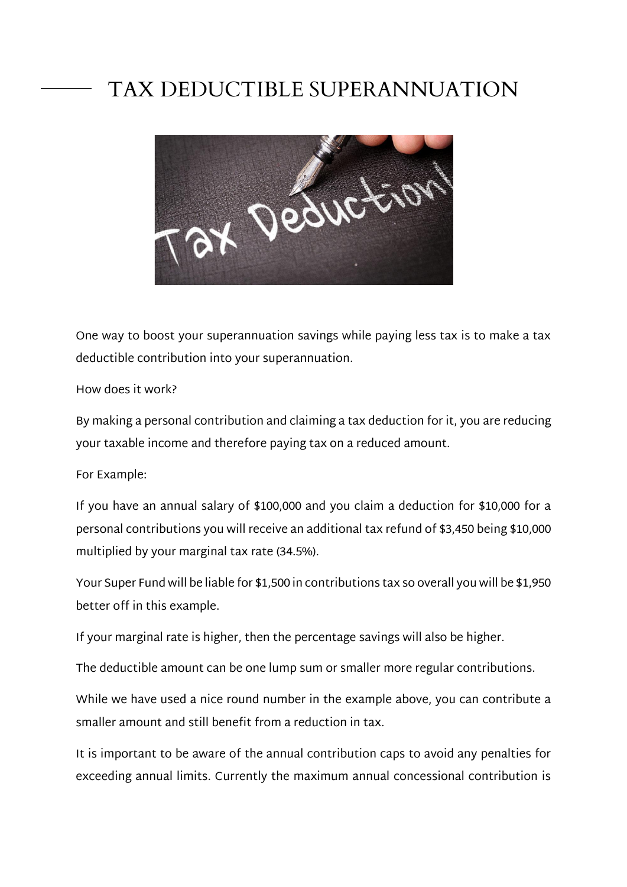## TAX DEDUCTIBLE SUPERANNUATION



One way to boost your superannuation savings while paying less tax is to make a tax deductible contribution into your superannuation.

## How does it work?

By making a personal contribution and claiming a tax deduction for it, you are reducing your taxable income and therefore paying tax on a reduced amount.

For Example:

If you have an annual salary of \$100,000 and you claim a deduction for \$10,000 for a personal contributions you will receive an additional tax refund of \$3,450 being \$10,000 multiplied by your marginal tax rate (34.5%).

Your Super Fund will be liable for \$1,500 in contributions tax so overall you will be \$1,950 better off in this example.

If your marginal rate is higher, then the percentage savings will also be higher.

The deductible amount can be one lump sum or smaller more regular contributions.

While we have used a nice round number in the example above, you can contribute a smaller amount and still benefit from a reduction in tax.

It is important to be aware of the annual contribution caps to avoid any penalties for exceeding annual limits. Currently the maximum annual concessional contribution is